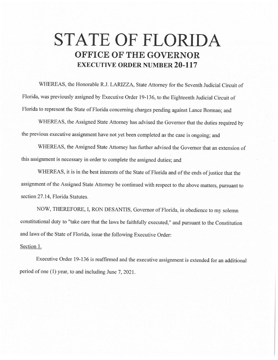## **STATE OF FLORIDA OFFICE OF THE GOVERNOR EXECUTIVE ORDER NUMBER 20-117**

WHEREAS, the Honorable R.J. LARIZZA, State Attorney for the Seventh Judicial Circuit of Florida, was previously assigned by Executive Order 19-136, to the Eighteenth Judicial Circuit of Florida to represent the State of Florida concerning charges pending against Lance Borman; and

WHEREAS, the Assigned State Attorney has advised the Governor that the duties required by the previous executive assignment have not yet been completed as the case is ongoing; and

WHEREAS, the Assigned State Attorney has further advised the Governor that an extension of this assignment is necessary in order to complete the assigned duties; and

WHEREAS, it is in the best interests of the State of Florida and of the ends of justice that the assignment of the Assigned State Attorney be continued with respect to the above matters, pursuant to section 27.14, Florida Statutes.

NOW, THEREFORE, I, RON DESANTIS, Governor of Florida, in obedience to my solemn constitutional duty to "take care that the laws be faithfully executed," and pursuant to the Constitution and laws of the State of Florida, issue the following Executive Order:

## Section 1.

Executive Order 19-136 is reaffirmed and the executive assignment is extended for an additional period of one (1) year, to and including June 7, 2021.